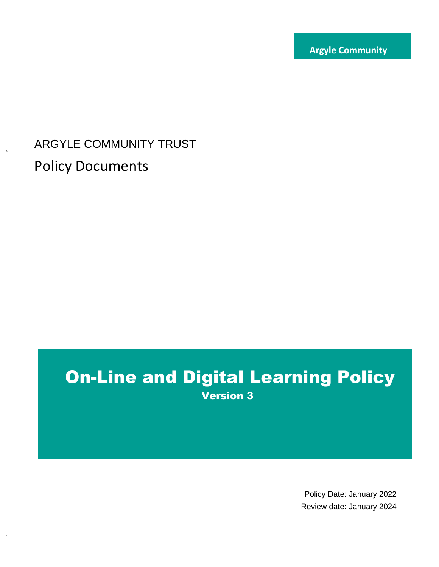**Trust**

# ARGYLE COMMUNITY TRUST Policy Documents

## On-Line and Digital Learning Policy Version 3

Policy Date: January 2022 Review date: January 2024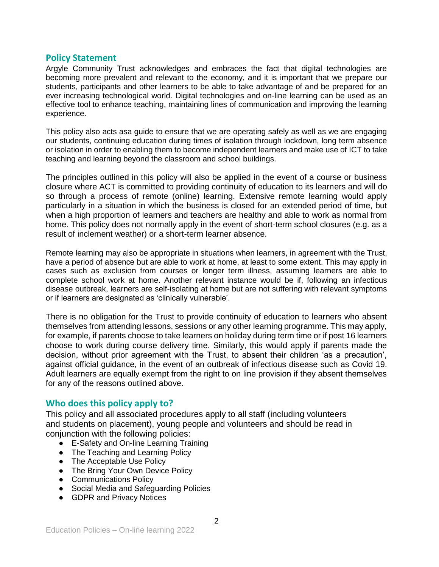#### **Policy Statement**

Argyle Community Trust acknowledges and embraces the fact that digital technologies are becoming more prevalent and relevant to the economy, and it is important that we prepare our students, participants and other learners to be able to take advantage of and be prepared for an ever increasing technological world. Digital technologies and on-line learning can be used as an effective tool to enhance teaching, maintaining lines of communication and improving the learning experience.

This policy also acts asa guide to ensure that we are operating safely as well as we are engaging our students, continuing education during times of isolation through lockdown, long term absence or isolation in order to enabling them to become independent learners and make use of ICT to take teaching and learning beyond the classroom and school buildings.

The principles outlined in this policy will also be applied in the event of a course or business closure where ACT is committed to providing continuity of education to its learners and will do so through a process of remote (online) learning. Extensive remote learning would apply particularly in a situation in which the business is closed for an extended period of time, but when a high proportion of learners and teachers are healthy and able to work as normal from home. This policy does not normally apply in the event of short-term school closures (e.g. as a result of inclement weather) or a short-term learner absence.

Remote learning may also be appropriate in situations when learners, in agreement with the Trust, have a period of absence but are able to work at home, at least to some extent. This may apply in cases such as exclusion from courses or longer term illness, assuming learners are able to complete school work at home. Another relevant instance would be if, following an infectious disease outbreak, learners are self-isolating at home but are not suffering with relevant symptoms or if learners are designated as 'clinically vulnerable'.

There is no obligation for the Trust to provide continuity of education to learners who absent themselves from attending lessons, sessions or any other learning programme. This may apply, for example, if parents choose to take learners on holiday during term time or if post 16 learners choose to work during course delivery time. Similarly, this would apply if parents made the decision, without prior agreement with the Trust, to absent their children 'as a precaution', against official guidance, in the event of an outbreak of infectious disease such as Covid 19. Adult learners are equally exempt from the right to on line provision if they absent themselves for any of the reasons outlined above.

## **Who does this policy apply to?**

This policy and all associated procedures apply to all staff (including volunteers and students on placement), young people and volunteers and should be read in coniunction with the following policies:

- E-Safety and On-line Learning Training
- The Teaching and Learning Policy
- The Acceptable Use Policy
- The Bring Your Own Device Policy
- Communications Policy
- Social Media and Safeguarding Policies
- GDPR and Privacy Notices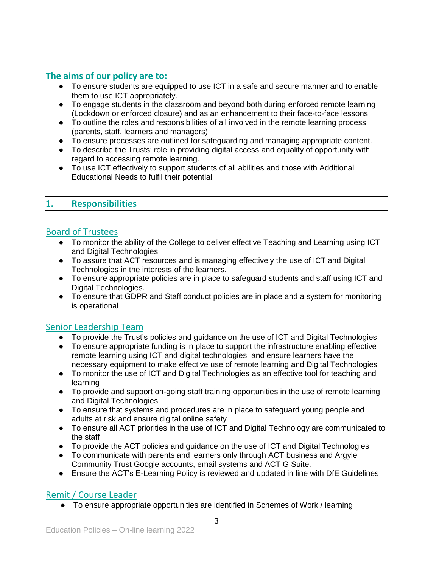## **The aims of our policy are to:**

- To ensure students are equipped to use ICT in a safe and secure manner and to enable them to use ICT appropriately.
- To engage students in the classroom and beyond both during enforced remote learning (Lockdown or enforced closure) and as an enhancement to their face-to-face lessons
- To outline the roles and responsibilities of all involved in the remote learning process (parents, staff, learners and managers)
- To ensure processes are outlined for safeguarding and managing appropriate content.
- To describe the Trusts' role in providing digital access and equality of opportunity with regard to accessing remote learning.
- To use ICT effectively to support students of all abilities and those with Additional Educational Needs to fulfil their potential

## **1. Responsibilities**

## Board of Trustees

- To monitor the ability of the College to deliver effective Teaching and Learning using ICT and Digital Technologies
- To assure that ACT resources and is managing effectively the use of ICT and Digital Technologies in the interests of the learners.
- To ensure appropriate policies are in place to safeguard students and staff using ICT and Digital Technologies.
- To ensure that GDPR and Staff conduct policies are in place and a system for monitoring is operational

## Senior Leadership Team

- To provide the Trust's policies and guidance on the use of ICT and Digital Technologies
- To ensure appropriate funding is in place to support the infrastructure enabling effective remote learning using ICT and digital technologies and ensure learners have the necessary equipment to make effective use of remote learning and Digital Technologies
- To monitor the use of ICT and Digital Technologies as an effective tool for teaching and learning
- To provide and support on-going staff training opportunities in the use of remote learning and Digital Technologies
- To ensure that systems and procedures are in place to safeguard young people and adults at risk and ensure digital online safety
- To ensure all ACT priorities in the use of ICT and Digital Technology are communicated to the staff
- To provide the ACT policies and guidance on the use of ICT and Digital Technologies
- To communicate with parents and learners only through ACT business and Argyle Community Trust Google accounts, email systems and ACT G Suite.
- Ensure the ACT's E-Learning Policy is reviewed and updated in line with DfE Guidelines

## Remit / Course Leader

● To ensure appropriate opportunities are identified in Schemes of Work / learning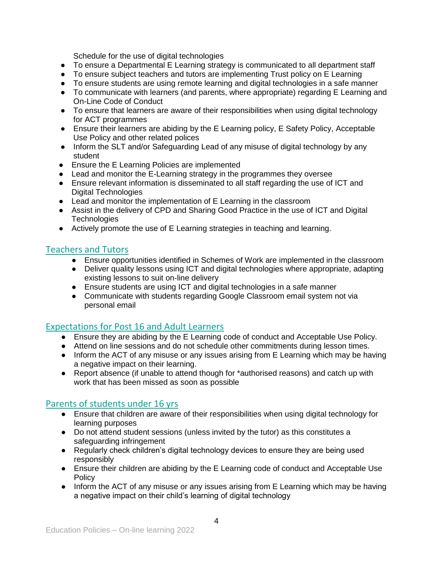Schedule for the use of digital technologies

- To ensure a Departmental E Learning strategy is communicated to all department staff
- To ensure subject teachers and tutors are implementing Trust policy on E Learning
- To ensure students are using remote learning and digital technologies in a safe manner
- To communicate with learners (and parents, where appropriate) regarding E Learning and On-Line Code of Conduct
- To ensure that learners are aware of their responsibilities when using digital technology for ACT programmes
- Ensure their learners are abiding by the E Learning policy, E Safety Policy, Acceptable Use Policy and other related polices
- Inform the SLT and/or Safeguarding Lead of any misuse of digital technology by any student
- Ensure the E Learning Policies are implemented
- Lead and monitor the E-Learning strategy in the programmes they oversee
- Ensure relevant information is disseminated to all staff regarding the use of ICT and Digital Technologies
- Lead and monitor the implementation of E Learning in the classroom
- Assist in the delivery of CPD and Sharing Good Practice in the use of ICT and Digital **Technologies**
- Actively promote the use of E Learning strategies in teaching and learning.

## Teachers and Tutors

- Ensure opportunities identified in Schemes of Work are implemented in the classroom
- Deliver quality lessons using ICT and digital technologies where appropriate, adapting existing lessons to suit on-line delivery
- Ensure students are using ICT and digital technologies in a safe manner
- Communicate with students regarding Google Classroom email system not via personal email

## Expectations for Post 16 and Adult Learners

- Ensure they are abiding by the E Learning code of conduct and Acceptable Use Policy.
- Attend on line sessions and do not schedule other commitments during lesson times.
- Inform the ACT of any misuse or any issues arising from E Learning which may be having a negative impact on their learning.
- Report absence (if unable to attend though for \*authorised reasons) and catch up with work that has been missed as soon as possible

## Parents of students under 16 yrs

- Ensure that children are aware of their responsibilities when using digital technology for learning purposes
- Do not attend student sessions (unless invited by the tutor) as this constitutes a safeguarding infringement
- Regularly check children's digital technology devices to ensure they are being used responsibly
- Ensure their children are abiding by the E Learning code of conduct and Acceptable Use **Policy**
- Inform the ACT of any misuse or any issues arising from E Learning which may be having a negative impact on their child's learning of digital technology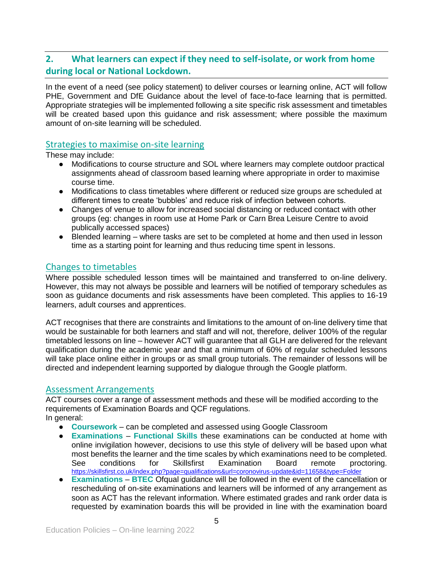## **2. What learners can expect if they need to self-isolate, or work from home during local or National Lockdown.**

In the event of a need (see policy statement) to deliver courses or learning online, ACT will follow PHE, Government and DfE Guidance about the level of face-to-face learning that is permitted. Appropriate strategies will be implemented following a site specific risk assessment and timetables will be created based upon this guidance and risk assessment; where possible the maximum amount of on-site learning will be scheduled.

#### Strategies to maximise on-site learning

These may include:

- Modifications to course structure and SOL where learners may complete outdoor practical assignments ahead of classroom based learning where appropriate in order to maximise course time.
- Modifications to class timetables where different or reduced size groups are scheduled at different times to create 'bubbles' and reduce risk of infection between cohorts.
- Changes of venue to allow for increased social distancing or reduced contact with other groups (eg: changes in room use at Home Park or Carn Brea Leisure Centre to avoid publically accessed spaces)
- Blended learning where tasks are set to be completed at home and then used in lesson time as a starting point for learning and thus reducing time spent in lessons.

#### Changes to timetables

Where possible scheduled lesson times will be maintained and transferred to on-line delivery. However, this may not always be possible and learners will be notified of temporary schedules as soon as guidance documents and risk assessments have been completed. This applies to 16-19 learners, adult courses and apprentices.

ACT recognises that there are constraints and limitations to the amount of on-line delivery time that would be sustainable for both learners and staff and will not, therefore, deliver 100% of the regular timetabled lessons on line – however ACT will guarantee that all GLH are delivered for the relevant qualification during the academic year and that a minimum of 60% of regular scheduled lessons will take place online either in groups or as small group tutorials. The remainder of lessons will be directed and independent learning supported by dialogue through the Google platform.

#### Assessment Arrangements

ACT courses cover a range of assessment methods and these will be modified according to the requirements of Examination Boards and QCF regulations. In general:

- **Coursework** can be completed and assessed using Google Classroom
- **Examinations Functional Skills** these examinations can be conducted at home with online invigilation however, decisions to use this style of delivery will be based upon what most benefits the learner and the time scales by which examinations need to be completed. See conditions for Skillsfirst Examination Board remote proctoring. <https://skillsfirst.co.uk/index.php?page=qualifications&url=coronovirus-update&id=11658&type=Folder>
- **Examinations BTEC** Ofqual guidance will be followed in the event of the cancellation or rescheduling of on-site examinations and learners will be informed of any arrangement as soon as ACT has the relevant information. Where estimated grades and rank order data is requested by examination boards this will be provided in line with the examination board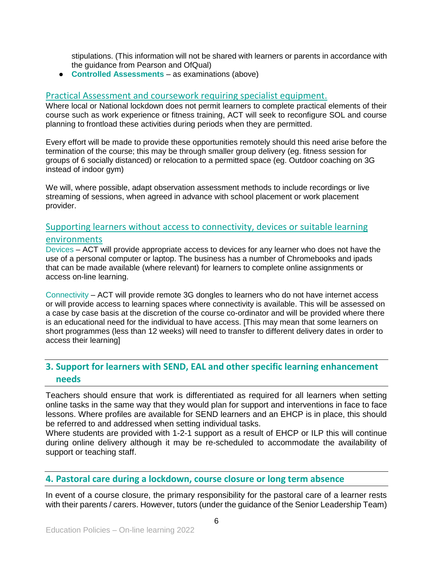stipulations. (This information will not be shared with learners or parents in accordance with the guidance from Pearson and OfQual)

● **Controlled Assessments** – as examinations (above)

#### Practical Assessment and coursework requiring specialist equipment.

Where local or National lockdown does not permit learners to complete practical elements of their course such as work experience or fitness training, ACT will seek to reconfigure SOL and course planning to frontload these activities during periods when they are permitted.

Every effort will be made to provide these opportunities remotely should this need arise before the termination of the course; this may be through smaller group delivery (eg. fitness session for groups of 6 socially distanced) or relocation to a permitted space (eg. Outdoor coaching on 3G instead of indoor gym)

We will, where possible, adapt observation assessment methods to include recordings or live streaming of sessions, when agreed in advance with school placement or work placement provider.

## Supporting learners without access to connectivity, devices or suitable learning environments

Devices – ACT will provide appropriate access to devices for any learner who does not have the use of a personal computer or laptop. The business has a number of Chromebooks and ipads that can be made available (where relevant) for learners to complete online assignments or access on-line learning.

Connectivity – ACT will provide remote 3G dongles to learners who do not have internet access or will provide access to learning spaces where connectivity is available. This will be assessed on a case by case basis at the discretion of the course co-ordinator and will be provided where there is an educational need for the individual to have access. [This may mean that some learners on short programmes (less than 12 weeks) will need to transfer to different delivery dates in order to access their learning]

## **3. Support for learners with SEND, EAL and other specific learning enhancement needs**

Teachers should ensure that work is differentiated as required for all learners when setting online tasks in the same way that they would plan for support and interventions in face to face lessons. Where profiles are available for SEND learners and an EHCP is in place, this should be referred to and addressed when setting individual tasks.

Where students are provided with 1-2-1 support as a result of EHCP or ILP this will continue during online delivery although it may be re-scheduled to accommodate the availability of support or teaching staff.

#### **4. Pastoral care during a lockdown, course closure or long term absence**

In event of a course closure, the primary responsibility for the pastoral care of a learner rests with their parents / carers. However, tutors (under the guidance of the Senior Leadership Team)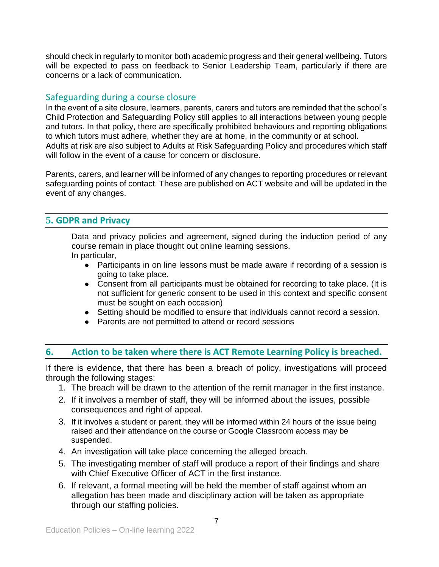should check in regularly to monitor both academic progress and their general wellbeing. Tutors will be expected to pass on feedback to Senior Leadership Team, particularly if there are concerns or a lack of communication.

## Safeguarding during a course closure

In the event of a site closure, learners, parents, carers and tutors are reminded that the school's Child Protection and Safeguarding Policy still applies to all interactions between young people and tutors. In that policy, there are specifically prohibited behaviours and reporting obligations to which tutors must adhere, whether they are at home, in the community or at school. Adults at risk are also subject to Adults at Risk Safeguarding Policy and procedures which staff will follow in the event of a cause for concern or disclosure.

Parents, carers, and learner will be informed of any changes to reporting procedures or relevant safeguarding points of contact. These are published on ACT website and will be updated in the event of any changes.

## **5. GDPR and Privacy**

Data and privacy policies and agreement, signed during the induction period of any course remain in place thought out online learning sessions.

In particular,

- Participants in on line lessons must be made aware if recording of a session is going to take place.
- Consent from all participants must be obtained for recording to take place. (It is not sufficient for generic consent to be used in this context and specific consent must be sought on each occasion)
- Setting should be modified to ensure that individuals cannot record a session.
- Parents are not permitted to attend or record sessions

## **6. Action to be taken where there is ACT Remote Learning Policy is breached.**

If there is evidence, that there has been a breach of policy, investigations will proceed through the following stages:

- 1. The breach will be drawn to the attention of the remit manager in the first instance.
- 2. If it involves a member of staff, they will be informed about the issues, possible consequences and right of appeal.
- 3. If it involves a student or parent, they will be informed within 24 hours of the issue being raised and their attendance on the course or Google Classroom access may be suspended.
- 4. An investigation will take place concerning the alleged breach.
- 5. The investigating member of staff will produce a report of their findings and share with Chief Executive Officer of ACT in the first instance.
- 6. If relevant, a formal meeting will be held the member of staff against whom an allegation has been made and disciplinary action will be taken as appropriate through our staffing policies.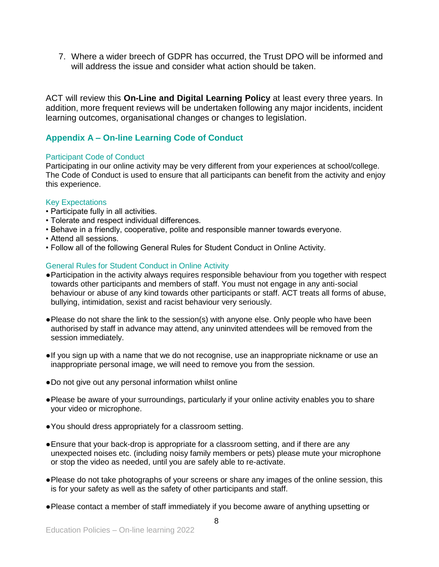7. Where a wider breech of GDPR has occurred, the Trust DPO will be informed and will address the issue and consider what action should be taken.

ACT will review this **On-Line and Digital Learning Policy** at least every three years. In addition, more frequent reviews will be undertaken following any major incidents, incident learning outcomes, organisational changes or changes to legislation.

## **Appendix A – On-line Learning Code of Conduct**

#### Participant Code of Conduct

Participating in our online activity may be very different from your experiences at school/college. The Code of Conduct is used to ensure that all participants can benefit from the activity and enjoy this experience.

#### Key Expectations

- Participate fully in all activities.
- Tolerate and respect individual differences.
- Behave in a friendly, cooperative, polite and responsible manner towards everyone.
- Attend all sessions.
- Follow all of the following General Rules for Student Conduct in Online Activity.

#### General Rules for Student Conduct in Online Activity

- ●Participation in the activity always requires responsible behaviour from you together with respect towards other participants and members of staff. You must not engage in any anti-social behaviour or abuse of any kind towards other participants or staff. ACT treats all forms of abuse, bullying, intimidation, sexist and racist behaviour very seriously.
- ●Please do not share the link to the session(s) with anyone else. Only people who have been authorised by staff in advance may attend, any uninvited attendees will be removed from the session immediately.
- ●If you sign up with a name that we do not recognise, use an inappropriate nickname or use an inappropriate personal image, we will need to remove you from the session.
- ●Do not give out any personal information whilst online
- ●Please be aware of your surroundings, particularly if your online activity enables you to share your video or microphone.
- ●You should dress appropriately for a classroom setting.
- ●Ensure that your back-drop is appropriate for a classroom setting, and if there are any unexpected noises etc. (including noisy family members or pets) please mute your microphone or stop the video as needed, until you are safely able to re-activate.
- ●Please do not take photographs of your screens or share any images of the online session, this is for your safety as well as the safety of other participants and staff.
- ●Please contact a member of staff immediately if you become aware of anything upsetting or